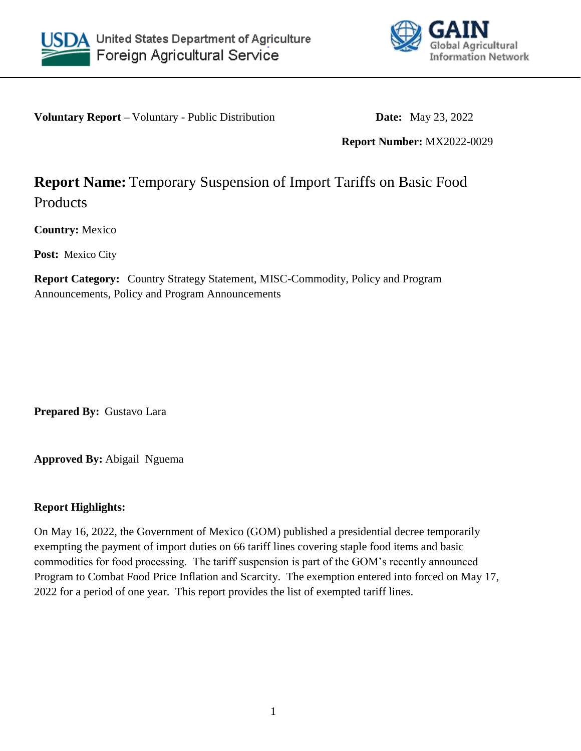



**Voluntary Report** – Voluntary - Public Distribution **Date:** May 23, 2022

**Report Number:** MX2022-0029

## **Report Name:** Temporary Suspension of Import Tariffs on Basic Food Products

**Country:** Mexico

**Post:** Mexico City

**Report Category:** Country Strategy Statement, MISC-Commodity, Policy and Program Announcements, Policy and Program Announcements

**Prepared By:** Gustavo Lara

**Approved By:** Abigail Nguema

## **Report Highlights:**

On May 16, 2022, the Government of Mexico (GOM) published a presidential decree temporarily exempting the payment of import duties on 66 tariff lines covering staple food items and basic commodities for food processing. The tariff suspension is part of the GOM's recently announced Program to Combat Food Price Inflation and Scarcity. The exemption entered into forced on May 17, 2022 for a period of one year. This report provides the list of exempted tariff lines.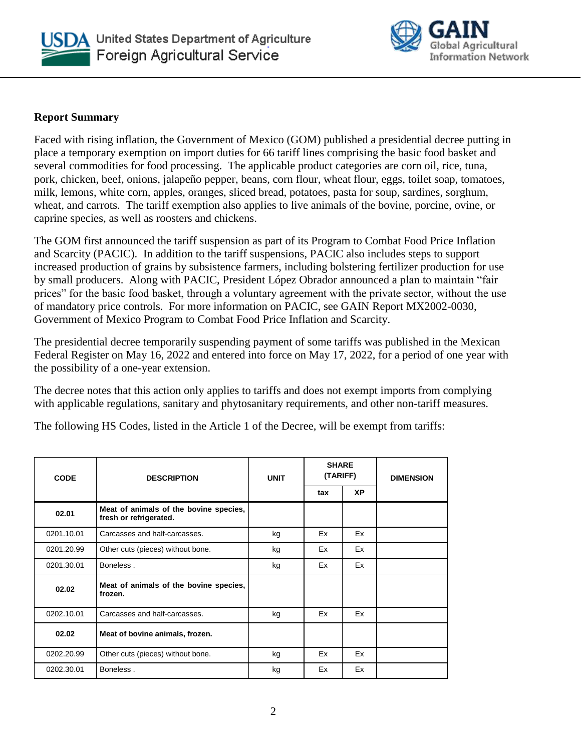



## **Report Summary**

Faced with rising inflation, the Government of Mexico (GOM) published a presidential decree putting in place a temporary exemption on import duties for 66 tariff lines comprising the basic food basket and several commodities for food processing. The applicable product categories are corn oil, rice, tuna, pork, chicken, beef, onions, jalapeño pepper, beans, corn flour, wheat flour, eggs, toilet soap, tomatoes, milk, lemons, white corn, apples, oranges, sliced bread, potatoes, pasta for soup, sardines, sorghum, wheat, and carrots. The tariff exemption also applies to live animals of the bovine, porcine, ovine, or caprine species, as well as roosters and chickens.

The GOM first announced the tariff suspension as part of its Program to Combat Food Price Inflation and Scarcity (PACIC). In addition to the tariff suspensions, PACIC also includes steps to support increased production of grains by subsistence farmers, including bolstering fertilizer production for use by small producers. Along with PACIC, President López Obrador announced a plan to maintain "fair prices" for the basic food basket, through a voluntary agreement with the private sector, without the use of mandatory price controls. For more information on PACIC, see GAIN Report MX2002-0030, Government of Mexico Program to Combat Food Price Inflation and Scarcity.

The presidential decree temporarily suspending payment of some tariffs was published in the Mexican Federal Register on May 16, 2022 and entered into force on May 17, 2022, for a period of one year with the possibility of a one-year extension.

The decree notes that this action only applies to tariffs and does not exempt imports from complying with applicable regulations, sanitary and phytosanitary requirements, and other non-tariff measures.

The following HS Codes, listed in the Article 1 of the Decree, will be exempt from tariffs:

| <b>CODE</b> | <b>DESCRIPTION</b>                                               | <b>UNIT</b> | <b>SHARE</b><br>(TARIFF) |     | <b>DIMENSION</b> |  |
|-------------|------------------------------------------------------------------|-------------|--------------------------|-----|------------------|--|
|             |                                                                  |             | tax                      | XP. |                  |  |
| 02.01       | Meat of animals of the bovine species,<br>fresh or refrigerated. |             |                          |     |                  |  |
| 0201.10.01  | Carcasses and half-carcasses.                                    | kg          | Ex                       | Ex  |                  |  |
| 0201.20.99  | Other cuts (pieces) without bone.                                | kg          | Ex                       | Ex  |                  |  |
| 0201.30.01  | Boneless.                                                        | kg          | Ex                       | Ex  |                  |  |
| 02.02       | Meat of animals of the bovine species,<br>frozen.                |             |                          |     |                  |  |
| 0202.10.01  | Carcasses and half-carcasses.                                    | kg          | Ex                       | Ex  |                  |  |
| 02.02       | Meat of bovine animals, frozen.                                  |             |                          |     |                  |  |
| 0202.20.99  | Other cuts (pieces) without bone.                                | kg          | Ex                       | Ex  |                  |  |
| 0202.30.01  | Boneless.                                                        | kg          | Ex                       | Ex  |                  |  |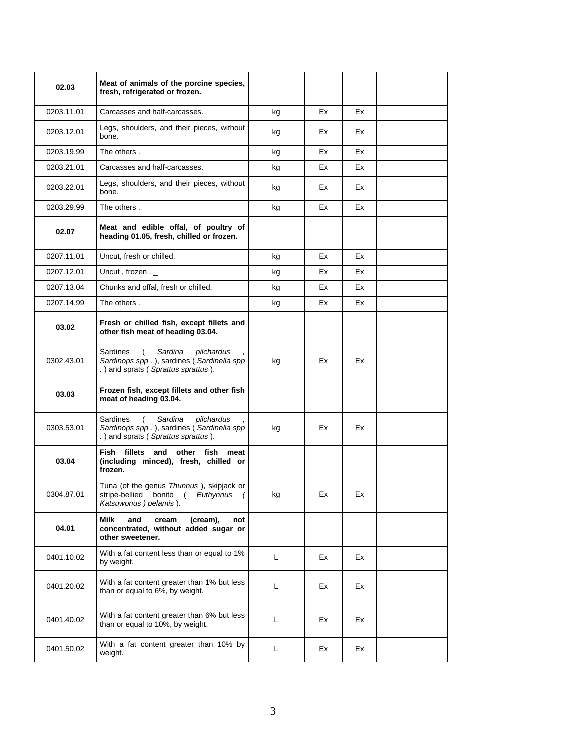| 02.03      | Meat of animals of the porcine species,<br>fresh, refrigerated or frozen.                                                 |    |    |    |  |
|------------|---------------------------------------------------------------------------------------------------------------------------|----|----|----|--|
| 0203.11.01 | Carcasses and half-carcasses.                                                                                             | kg | Ex | Ex |  |
| 0203.12.01 | Legs, shoulders, and their pieces, without<br>bone.                                                                       | kg | Ex | Ex |  |
| 0203.19.99 | The others.                                                                                                               | kg | Ex | Ex |  |
| 0203.21.01 | Carcasses and half-carcasses.                                                                                             | kg | Ex | Ex |  |
| 0203.22.01 | Legs, shoulders, and their pieces, without<br>bone.                                                                       | kg | Ex | Ex |  |
| 0203.29.99 | The others.                                                                                                               | kg | Ex | Ex |  |
| 02.07      | Meat and edible offal, of poultry of<br>heading 01.05, fresh, chilled or frozen.                                          |    |    |    |  |
| 0207.11.01 | Uncut, fresh or chilled.                                                                                                  | kg | Ex | Ex |  |
| 0207.12.01 | Uncut, frozen. $\overline{\phantom{a}}$                                                                                   | kg | Ex | Ex |  |
| 0207.13.04 | Chunks and offal, fresh or chilled.                                                                                       | kg | Ex | Ex |  |
| 0207.14.99 | The others.                                                                                                               | kg | Ex | Ex |  |
| 03.02      | Fresh or chilled fish, except fillets and<br>other fish meat of heading 03.04.                                            |    |    |    |  |
| 0302.43.01 | Sardina<br>Sardines<br>pilchardus<br>Sardinops spp.), sardines (Sardinella spp<br>.) and sprats (Sprattus sprattus).      | kg | Ex | Ex |  |
| 03.03      | Frozen fish, except fillets and other fish<br>meat of heading 03.04.                                                      |    |    |    |  |
| 0303.53.01 | Sardines<br>Sardina<br>(<br>pilchardus<br>Sardinops spp.), sardines (Sardinella spp<br>.) and sprats (Sprattus sprattus). | kg | Ex | Ex |  |
| 03.04      | fillets and other fish meat<br>Fish<br>(including minced), fresh, chilled or<br>frozen.                                   |    |    |    |  |
| 0304.87.01 | Tuna (of the genus Thunnus), skipjack or<br>stripe-bellied bonito ( Euthynnus (<br>Katsuwonus ) pelamis ).                | kg | Ex | Ex |  |
| 04.01      | Milk<br>and<br>cream<br>(cream),<br>not<br>concentrated, without added sugar or<br>other sweetener.                       |    |    |    |  |
| 0401.10.02 | With a fat content less than or equal to 1%<br>by weight.                                                                 | L  | Ex | Ex |  |
| 0401.20.02 | With a fat content greater than 1% but less<br>than or equal to 6%, by weight.                                            | L  | Ex | Ex |  |
| 0401.40.02 | With a fat content greater than 6% but less<br>than or equal to 10%, by weight.                                           | Г  | Ex | Ex |  |
| 0401.50.02 | With a fat content greater than 10% by<br>weight.                                                                         | L  | Ex | Ex |  |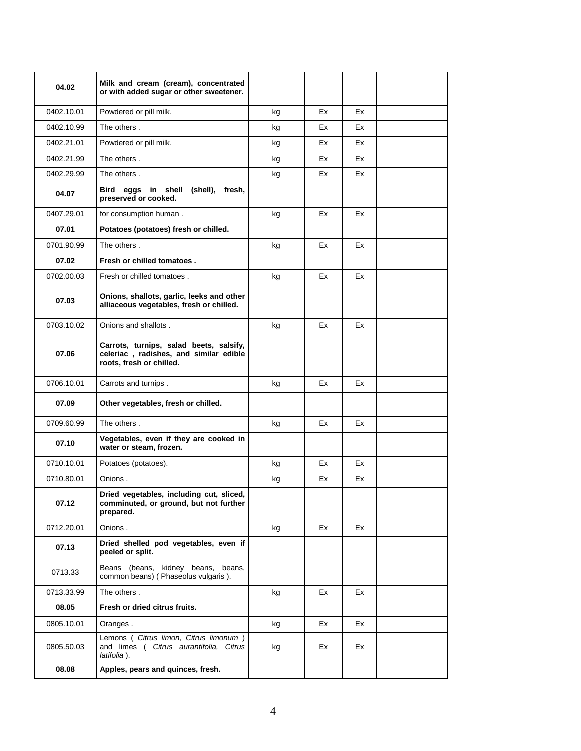| 04.02      | Milk and cream (cream), concentrated<br>or with added sugar or other sweetener.                               |    |    |    |  |
|------------|---------------------------------------------------------------------------------------------------------------|----|----|----|--|
| 0402.10.01 | Powdered or pill milk.                                                                                        | kg | Ex | Ex |  |
| 0402.10.99 | The others.                                                                                                   | kg | Ex | Ex |  |
| 0402.21.01 | Powdered or pill milk.                                                                                        | kg | Ex | Ex |  |
| 0402.21.99 | The others.                                                                                                   | kg | Ex | Ex |  |
| 0402.29.99 | The others.                                                                                                   | kg | Ex | Ex |  |
| 04.07      | eggs in shell<br>(shell),<br>fresh,<br>Bird<br>preserved or cooked.                                           |    |    |    |  |
| 0407.29.01 | for consumption human.                                                                                        | kg | Ex | Ex |  |
| 07.01      | Potatoes (potatoes) fresh or chilled.                                                                         |    |    |    |  |
| 0701.90.99 | The others.                                                                                                   | kg | Ex | Ex |  |
| 07.02      | Fresh or chilled tomatoes.                                                                                    |    |    |    |  |
| 0702.00.03 | Fresh or chilled tomatoes.                                                                                    | kg | Ex | Ex |  |
| 07.03      | Onions, shallots, garlic, leeks and other<br>alliaceous vegetables, fresh or chilled.                         |    |    |    |  |
| 0703.10.02 | Onions and shallots.                                                                                          | kg | Ex | Ex |  |
| 07.06      | Carrots, turnips, salad beets, salsify,<br>celeriac, radishes, and similar edible<br>roots, fresh or chilled. |    |    |    |  |
| 0706.10.01 | Carrots and turnips.                                                                                          | kg | Ex | Ex |  |
| 07.09      | Other vegetables, fresh or chilled.                                                                           |    |    |    |  |
| 0709.60.99 | The others.                                                                                                   | kg | Ex | Ex |  |
| 07.10      | Vegetables, even if they are cooked in<br>water or steam, frozen.                                             |    |    |    |  |
| 0710.10.01 | Potatoes (potatoes).                                                                                          | kg | Ex | Ex |  |
| 0710.80.01 | Onions.                                                                                                       | kg | Ex | Ex |  |
| 07.12      | Dried vegetables, including cut, sliced,<br>comminuted, or ground, but not further<br>prepared.               |    |    |    |  |
| 0712.20.01 | Onions.                                                                                                       | kg | Ex | Ex |  |
| 07.13      | Dried shelled pod vegetables, even if<br>peeled or split.                                                     |    |    |    |  |
| 0713.33    | Beans (beans, kidney beans, beans,<br>common beans) ( Phaseolus vulgaris ).                                   |    |    |    |  |
| 0713.33.99 | The others.                                                                                                   | kg | Ex | Ex |  |
| 08.05      | Fresh or dried citrus fruits.                                                                                 |    |    |    |  |
| 0805.10.01 | Oranges.                                                                                                      | kg | Ex | Ex |  |
| 0805.50.03 | Lemons ( Citrus limon, Citrus limonum )<br>and limes ( Citrus aurantifolia, Citrus<br>latifolia).             | kg | Ex | Ex |  |
| 08.08      | Apples, pears and quinces, fresh.                                                                             |    |    |    |  |
|            |                                                                                                               |    |    |    |  |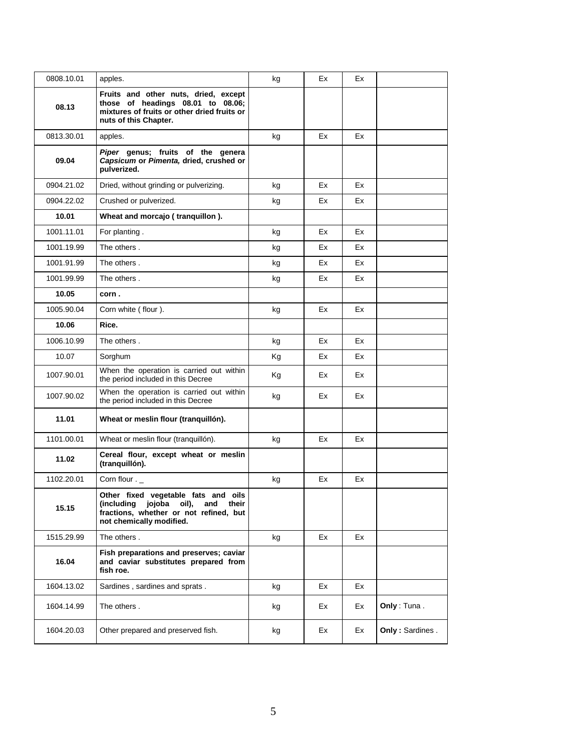| Ex<br>Ex<br>0808.10.01<br>apples.<br>kg<br>Fruits and other nuts, dried, except<br>those of headings 08.01 to 08.06;<br>08.13<br>mixtures of fruits or other dried fruits or<br>nuts of this Chapter.<br>0813.30.01<br>Ex<br>Ex<br>kg<br>apples.<br>Piper genus; fruits of the genera<br>09.04<br>Capsicum or Pimenta, dried, crushed or<br>pulverized.<br>0904.21.02<br>Dried, without grinding or pulverizing.<br>Ex<br>Ex<br>kg<br>Crushed or pulverized.<br>Ex<br>0904.22.02<br>kg<br>Ex<br>10.01<br>Wheat and morcajo (tranquillon).<br>1001.11.01<br>Ex<br>Ex<br>For planting.<br>kg<br>1001.19.99<br>The others.<br>Ex<br>Ex<br>kg<br>1001.91.99<br>The others.<br>Ex<br>Ex<br>kg<br>1001.99.99<br>The others.<br>Ex<br>Ex<br>kg<br>10.05<br>corn.<br>1005.90.04<br>Ex<br>Ex<br>Corn white (flour).<br>kg<br>Rice.<br>10.06<br>1006.10.99<br>The others.<br>Ex<br>Ex<br>kg<br>10.07<br>Sorghum<br>Ex<br>Ex<br>Kg<br>When the operation is carried out within<br>1007.90.01<br>Ex<br>Ex<br>Kg<br>the period included in this Decree<br>When the operation is carried out within<br>1007.90.02<br>Ex<br>Ex<br>kg<br>the period included in this Decree<br>11.01<br>Wheat or meslin flour (tranquillón).<br>1101.00.01<br>Wheat or meslin flour (tranquillón).<br>Ex<br>Ex<br>kg<br>Cereal flour, except wheat or meslin<br>11.02<br>(tranquillón).<br>1102.20.01<br>Corn flour . $\_$<br>Ex<br>Ex<br>kg<br>Other fixed vegetable fats and oils<br>(including jojoba oil),<br>and their<br>15.15<br>fractions, whether or not refined, but<br>not chemically modified.<br>1515.29.99<br>The others.<br>Ex<br>Ex<br>kg<br>Fish preparations and preserves; caviar<br>16.04<br>and caviar substitutes prepared from<br>fish roe.<br>Sardines, sardines and sprats.<br>Ex<br>Ex<br>1604.13.02<br>kg<br>The others.<br>Ex<br>Only: Tuna.<br>1604.14.99<br>Ex<br>kg<br>1604.20.03<br>Other prepared and preserved fish.<br>Ex<br>Ex<br><b>Only: Sardines.</b><br>kg |  |  |  |
|--------------------------------------------------------------------------------------------------------------------------------------------------------------------------------------------------------------------------------------------------------------------------------------------------------------------------------------------------------------------------------------------------------------------------------------------------------------------------------------------------------------------------------------------------------------------------------------------------------------------------------------------------------------------------------------------------------------------------------------------------------------------------------------------------------------------------------------------------------------------------------------------------------------------------------------------------------------------------------------------------------------------------------------------------------------------------------------------------------------------------------------------------------------------------------------------------------------------------------------------------------------------------------------------------------------------------------------------------------------------------------------------------------------------------------------------------------------------------------------------------------------------------------------------------------------------------------------------------------------------------------------------------------------------------------------------------------------------------------------------------------------------------------------------------------------------------------------------------------------------------------------------------------------------------------------------------------------------|--|--|--|
|                                                                                                                                                                                                                                                                                                                                                                                                                                                                                                                                                                                                                                                                                                                                                                                                                                                                                                                                                                                                                                                                                                                                                                                                                                                                                                                                                                                                                                                                                                                                                                                                                                                                                                                                                                                                                                                                                                                                                                    |  |  |  |
|                                                                                                                                                                                                                                                                                                                                                                                                                                                                                                                                                                                                                                                                                                                                                                                                                                                                                                                                                                                                                                                                                                                                                                                                                                                                                                                                                                                                                                                                                                                                                                                                                                                                                                                                                                                                                                                                                                                                                                    |  |  |  |
|                                                                                                                                                                                                                                                                                                                                                                                                                                                                                                                                                                                                                                                                                                                                                                                                                                                                                                                                                                                                                                                                                                                                                                                                                                                                                                                                                                                                                                                                                                                                                                                                                                                                                                                                                                                                                                                                                                                                                                    |  |  |  |
|                                                                                                                                                                                                                                                                                                                                                                                                                                                                                                                                                                                                                                                                                                                                                                                                                                                                                                                                                                                                                                                                                                                                                                                                                                                                                                                                                                                                                                                                                                                                                                                                                                                                                                                                                                                                                                                                                                                                                                    |  |  |  |
|                                                                                                                                                                                                                                                                                                                                                                                                                                                                                                                                                                                                                                                                                                                                                                                                                                                                                                                                                                                                                                                                                                                                                                                                                                                                                                                                                                                                                                                                                                                                                                                                                                                                                                                                                                                                                                                                                                                                                                    |  |  |  |
|                                                                                                                                                                                                                                                                                                                                                                                                                                                                                                                                                                                                                                                                                                                                                                                                                                                                                                                                                                                                                                                                                                                                                                                                                                                                                                                                                                                                                                                                                                                                                                                                                                                                                                                                                                                                                                                                                                                                                                    |  |  |  |
|                                                                                                                                                                                                                                                                                                                                                                                                                                                                                                                                                                                                                                                                                                                                                                                                                                                                                                                                                                                                                                                                                                                                                                                                                                                                                                                                                                                                                                                                                                                                                                                                                                                                                                                                                                                                                                                                                                                                                                    |  |  |  |
|                                                                                                                                                                                                                                                                                                                                                                                                                                                                                                                                                                                                                                                                                                                                                                                                                                                                                                                                                                                                                                                                                                                                                                                                                                                                                                                                                                                                                                                                                                                                                                                                                                                                                                                                                                                                                                                                                                                                                                    |  |  |  |
|                                                                                                                                                                                                                                                                                                                                                                                                                                                                                                                                                                                                                                                                                                                                                                                                                                                                                                                                                                                                                                                                                                                                                                                                                                                                                                                                                                                                                                                                                                                                                                                                                                                                                                                                                                                                                                                                                                                                                                    |  |  |  |
|                                                                                                                                                                                                                                                                                                                                                                                                                                                                                                                                                                                                                                                                                                                                                                                                                                                                                                                                                                                                                                                                                                                                                                                                                                                                                                                                                                                                                                                                                                                                                                                                                                                                                                                                                                                                                                                                                                                                                                    |  |  |  |
|                                                                                                                                                                                                                                                                                                                                                                                                                                                                                                                                                                                                                                                                                                                                                                                                                                                                                                                                                                                                                                                                                                                                                                                                                                                                                                                                                                                                                                                                                                                                                                                                                                                                                                                                                                                                                                                                                                                                                                    |  |  |  |
|                                                                                                                                                                                                                                                                                                                                                                                                                                                                                                                                                                                                                                                                                                                                                                                                                                                                                                                                                                                                                                                                                                                                                                                                                                                                                                                                                                                                                                                                                                                                                                                                                                                                                                                                                                                                                                                                                                                                                                    |  |  |  |
|                                                                                                                                                                                                                                                                                                                                                                                                                                                                                                                                                                                                                                                                                                                                                                                                                                                                                                                                                                                                                                                                                                                                                                                                                                                                                                                                                                                                                                                                                                                                                                                                                                                                                                                                                                                                                                                                                                                                                                    |  |  |  |
|                                                                                                                                                                                                                                                                                                                                                                                                                                                                                                                                                                                                                                                                                                                                                                                                                                                                                                                                                                                                                                                                                                                                                                                                                                                                                                                                                                                                                                                                                                                                                                                                                                                                                                                                                                                                                                                                                                                                                                    |  |  |  |
|                                                                                                                                                                                                                                                                                                                                                                                                                                                                                                                                                                                                                                                                                                                                                                                                                                                                                                                                                                                                                                                                                                                                                                                                                                                                                                                                                                                                                                                                                                                                                                                                                                                                                                                                                                                                                                                                                                                                                                    |  |  |  |
|                                                                                                                                                                                                                                                                                                                                                                                                                                                                                                                                                                                                                                                                                                                                                                                                                                                                                                                                                                                                                                                                                                                                                                                                                                                                                                                                                                                                                                                                                                                                                                                                                                                                                                                                                                                                                                                                                                                                                                    |  |  |  |
|                                                                                                                                                                                                                                                                                                                                                                                                                                                                                                                                                                                                                                                                                                                                                                                                                                                                                                                                                                                                                                                                                                                                                                                                                                                                                                                                                                                                                                                                                                                                                                                                                                                                                                                                                                                                                                                                                                                                                                    |  |  |  |
|                                                                                                                                                                                                                                                                                                                                                                                                                                                                                                                                                                                                                                                                                                                                                                                                                                                                                                                                                                                                                                                                                                                                                                                                                                                                                                                                                                                                                                                                                                                                                                                                                                                                                                                                                                                                                                                                                                                                                                    |  |  |  |
|                                                                                                                                                                                                                                                                                                                                                                                                                                                                                                                                                                                                                                                                                                                                                                                                                                                                                                                                                                                                                                                                                                                                                                                                                                                                                                                                                                                                                                                                                                                                                                                                                                                                                                                                                                                                                                                                                                                                                                    |  |  |  |
|                                                                                                                                                                                                                                                                                                                                                                                                                                                                                                                                                                                                                                                                                                                                                                                                                                                                                                                                                                                                                                                                                                                                                                                                                                                                                                                                                                                                                                                                                                                                                                                                                                                                                                                                                                                                                                                                                                                                                                    |  |  |  |
|                                                                                                                                                                                                                                                                                                                                                                                                                                                                                                                                                                                                                                                                                                                                                                                                                                                                                                                                                                                                                                                                                                                                                                                                                                                                                                                                                                                                                                                                                                                                                                                                                                                                                                                                                                                                                                                                                                                                                                    |  |  |  |
|                                                                                                                                                                                                                                                                                                                                                                                                                                                                                                                                                                                                                                                                                                                                                                                                                                                                                                                                                                                                                                                                                                                                                                                                                                                                                                                                                                                                                                                                                                                                                                                                                                                                                                                                                                                                                                                                                                                                                                    |  |  |  |
|                                                                                                                                                                                                                                                                                                                                                                                                                                                                                                                                                                                                                                                                                                                                                                                                                                                                                                                                                                                                                                                                                                                                                                                                                                                                                                                                                                                                                                                                                                                                                                                                                                                                                                                                                                                                                                                                                                                                                                    |  |  |  |
|                                                                                                                                                                                                                                                                                                                                                                                                                                                                                                                                                                                                                                                                                                                                                                                                                                                                                                                                                                                                                                                                                                                                                                                                                                                                                                                                                                                                                                                                                                                                                                                                                                                                                                                                                                                                                                                                                                                                                                    |  |  |  |
|                                                                                                                                                                                                                                                                                                                                                                                                                                                                                                                                                                                                                                                                                                                                                                                                                                                                                                                                                                                                                                                                                                                                                                                                                                                                                                                                                                                                                                                                                                                                                                                                                                                                                                                                                                                                                                                                                                                                                                    |  |  |  |
|                                                                                                                                                                                                                                                                                                                                                                                                                                                                                                                                                                                                                                                                                                                                                                                                                                                                                                                                                                                                                                                                                                                                                                                                                                                                                                                                                                                                                                                                                                                                                                                                                                                                                                                                                                                                                                                                                                                                                                    |  |  |  |
|                                                                                                                                                                                                                                                                                                                                                                                                                                                                                                                                                                                                                                                                                                                                                                                                                                                                                                                                                                                                                                                                                                                                                                                                                                                                                                                                                                                                                                                                                                                                                                                                                                                                                                                                                                                                                                                                                                                                                                    |  |  |  |
|                                                                                                                                                                                                                                                                                                                                                                                                                                                                                                                                                                                                                                                                                                                                                                                                                                                                                                                                                                                                                                                                                                                                                                                                                                                                                                                                                                                                                                                                                                                                                                                                                                                                                                                                                                                                                                                                                                                                                                    |  |  |  |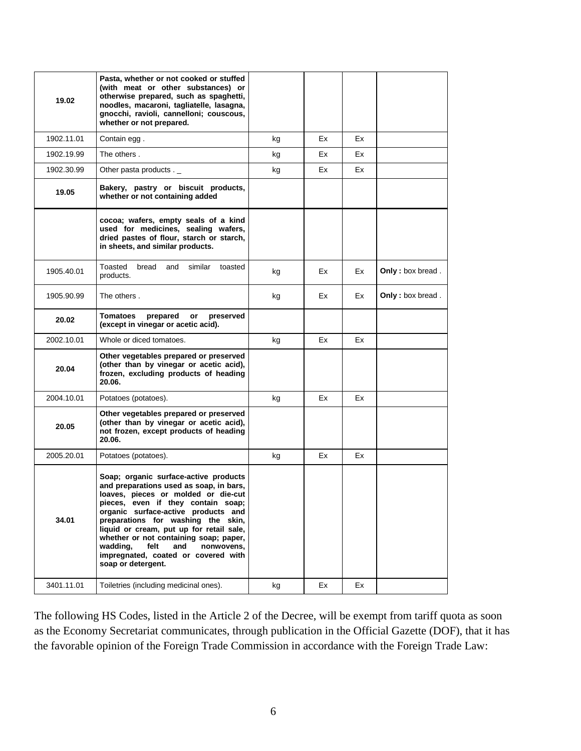| 19.02      | Pasta, whether or not cooked or stuffed<br>(with meat or other substances) or<br>otherwise prepared, such as spaghetti,<br>noodles, macaroni, tagliatelle, lasagna,<br>gnocchi, ravioli, cannelloni; couscous,<br>whether or not prepared.                                                                                                                                                                                             |    |    |    |                  |
|------------|----------------------------------------------------------------------------------------------------------------------------------------------------------------------------------------------------------------------------------------------------------------------------------------------------------------------------------------------------------------------------------------------------------------------------------------|----|----|----|------------------|
| 1902.11.01 | Contain egg.                                                                                                                                                                                                                                                                                                                                                                                                                           | kg | Ex | Ex |                  |
| 1902.19.99 | The others.                                                                                                                                                                                                                                                                                                                                                                                                                            | kg | Ex | Ex |                  |
| 1902.30.99 | Other pasta products . _                                                                                                                                                                                                                                                                                                                                                                                                               | kg | Ex | Ex |                  |
| 19.05      | Bakery, pastry or biscuit products,<br>whether or not containing added                                                                                                                                                                                                                                                                                                                                                                 |    |    |    |                  |
|            | cocoa; wafers, empty seals of a kind<br>used for medicines, sealing wafers,<br>dried pastes of flour, starch or starch,<br>in sheets, and similar products.                                                                                                                                                                                                                                                                            |    |    |    |                  |
| 1905.40.01 | Toasted<br>bread<br>and<br>similar<br>toasted<br>products.                                                                                                                                                                                                                                                                                                                                                                             | kg | Ex | Ex | Only: box bread. |
| 1905.90.99 | The others.                                                                                                                                                                                                                                                                                                                                                                                                                            | kg | Ex | Ex | Only: box bread. |
| 20.02      | Tomatoes<br>prepared<br>preserved<br>or<br>(except in vinegar or acetic acid).                                                                                                                                                                                                                                                                                                                                                         |    |    |    |                  |
| 2002.10.01 | Whole or diced tomatoes.                                                                                                                                                                                                                                                                                                                                                                                                               | kg | Ex | Ex |                  |
| 20.04      | Other vegetables prepared or preserved<br>(other than by vinegar or acetic acid),<br>frozen, excluding products of heading<br>20.06.                                                                                                                                                                                                                                                                                                   |    |    |    |                  |
| 2004.10.01 | Potatoes (potatoes).                                                                                                                                                                                                                                                                                                                                                                                                                   | kg | Ex | Ex |                  |
| 20.05      | Other vegetables prepared or preserved<br>(other than by vinegar or acetic acid),<br>not frozen, except products of heading<br>20.06.                                                                                                                                                                                                                                                                                                  |    |    |    |                  |
| 2005.20.01 | Potatoes (potatoes).                                                                                                                                                                                                                                                                                                                                                                                                                   | kg | Ex | Ex |                  |
| 34.01      | Soap; organic surface-active products<br>and preparations used as soap, in bars,<br>loaves, pieces or molded or die-cut<br>pieces, even if they contain soap;<br>organic surface-active products and<br>preparations for washing the skin,<br>liquid or cream, put up for retail sale,<br>whether or not containing soap; paper,<br>wadding,<br>felt<br>and<br>nonwovens,<br>impregnated, coated or covered with<br>soap or detergent. |    |    |    |                  |
| 3401.11.01 | Toiletries (including medicinal ones).                                                                                                                                                                                                                                                                                                                                                                                                 | kg | Ex | Ex |                  |

The following HS Codes, listed in the Article 2 of the Decree, will be exempt from tariff quota as soon as the Economy Secretariat communicates, through publication in the Official Gazette (DOF), that it has the favorable opinion of the Foreign Trade Commission in accordance with the Foreign Trade Law: